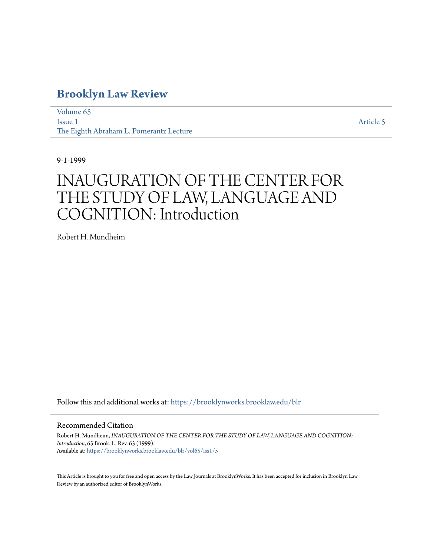### **[Brooklyn Law Review](https://brooklynworks.brooklaw.edu/blr?utm_source=brooklynworks.brooklaw.edu%2Fblr%2Fvol65%2Fiss1%2F5&utm_medium=PDF&utm_campaign=PDFCoverPages)**

[Volume 65](https://brooklynworks.brooklaw.edu/blr/vol65?utm_source=brooklynworks.brooklaw.edu%2Fblr%2Fvol65%2Fiss1%2F5&utm_medium=PDF&utm_campaign=PDFCoverPages) [Issue 1](https://brooklynworks.brooklaw.edu/blr/vol65/iss1?utm_source=brooklynworks.brooklaw.edu%2Fblr%2Fvol65%2Fiss1%2F5&utm_medium=PDF&utm_campaign=PDFCoverPages) The Eighth Abraham L. Pomerantz Lecture

[Article 5](https://brooklynworks.brooklaw.edu/blr/vol65/iss1/5?utm_source=brooklynworks.brooklaw.edu%2Fblr%2Fvol65%2Fiss1%2F5&utm_medium=PDF&utm_campaign=PDFCoverPages)

9-1-1999

# INAUGURATION OF THE CENTER FOR THE STUDY OF LAW, LANGUAGE AND COGNITION: Introduction

Robert H. Mundheim

Follow this and additional works at: [https://brooklynworks.brooklaw.edu/blr](https://brooklynworks.brooklaw.edu/blr?utm_source=brooklynworks.brooklaw.edu%2Fblr%2Fvol65%2Fiss1%2F5&utm_medium=PDF&utm_campaign=PDFCoverPages)

### Recommended Citation

Robert H. Mundheim, *INAUGURATION OF THE CENTER FOR THE STUDY OF LAW, LANGUAGE AND COGNITION: Introduction*, 65 Brook. L. Rev. 63 (1999). Available at: [https://brooklynworks.brooklaw.edu/blr/vol65/iss1/5](https://brooklynworks.brooklaw.edu/blr/vol65/iss1/5?utm_source=brooklynworks.brooklaw.edu%2Fblr%2Fvol65%2Fiss1%2F5&utm_medium=PDF&utm_campaign=PDFCoverPages)

This Article is brought to you for free and open access by the Law Journals at BrooklynWorks. It has been accepted for inclusion in Brooklyn Law Review by an authorized editor of BrooklynWorks.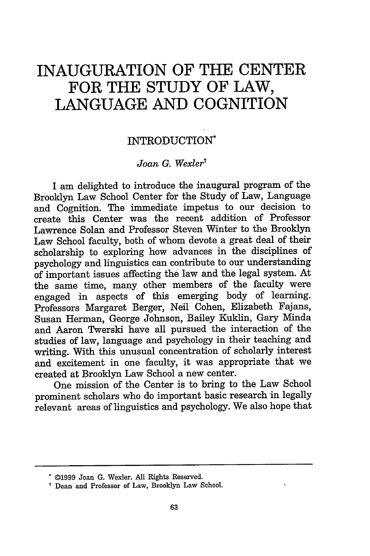## **INAUGURATION OF THE CENTER FOR THE STUDY OF LAW, LANGUAGE AND COGNITION**

### INTRODUCTION\*

#### *Joan G. Wexler'*

I am delighted to introduce the inaugural program of the Brooklyn Law School Center for the Study of Law, Language and Cognition. The immediate impetus to our decision to create this Center was the recent addition of Professor Lawrence Solan and Professor Steven Winter to the Brooklyn Law School faculty, both of whom devote a great deal of their scholarship to exploring how advances in the disciplines of psychology and linguistics can contribute to our understanding of important issues affecting the law and the legal system. At the same time, many other members of the faculty were engaged in aspects of this emerging body of learning. Professors Margaret Berger, Neil Cohen, Elizabeth Fajans, Susan Herman, George Johnson, Bailey Kuklin, Gary Minda and Aaron Twerski have all pursued the interaction of the studies of law, language and psychology in their teaching and writing. With this unusual concentration of scholarly interest and excitement in one faculty, it was appropriate that we created at Brooklyn Law School a new center.

One mission of the Center is to bring to the Law School prominent scholars who do important basic research in legally relevant areas of linguistics and psychology. We also hope that

**<sup>&</sup>quot; ©1999** Joan **G.** Wexler. All Rights Reserved.

Dean and Professor of Law, Brooklyn Law School.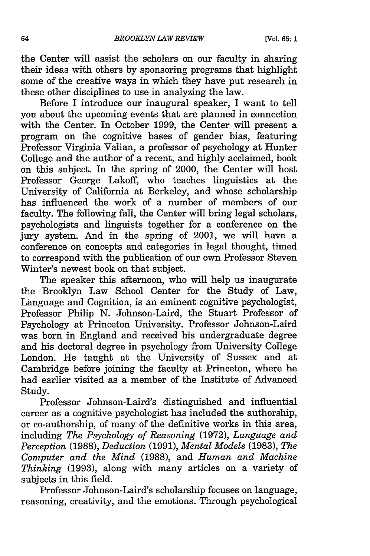the Center will assist the scholars on our faculty in sharing their ideas with others by sponsoring programs that highlight some of the creative ways in which they have put research in these other disciplines to use in analyzing the law.

Before I introduce our inaugural speaker, I want to tell you about the upcoming events that are planned in connection with the Center. In October 1999, the Center will present a program on the cognitive bases of gender bias, featuring Professor Virginia Valian, a professor of psychology at Hunter College and the author of a recent, and highly acclaimed, book on this subject. In the spring of 2000, the Center will host Professor George Lakoff, who teaches linguistics at the University of California at Berkeley, and whose scholarship has influenced the work of a number of members of our faculty. The following fall, the Center will bring legal scholars, psychologists and linguists together for a conference on the jury system. And in the spring of 2001, we will have a conference on concepts and categories in legal thought, timed to correspond with the publication of our own Professor Steven Winter's newest book on that subject.

The speaker this afternoon, who will help us inaugurate the Brooklyn Law School Center for the Study of Law, Language and Cognition, is an eminent cognitive psychologist, Professor Philip N. Johnson-Laird, the Stuart Professor of Psychology at Princeton University. Professor Johnson-Laird was born in England and received his undergraduate degree and his doctoral degree in psychology from University College London. He taught at the University of Sussex and at Cambridge before joining the faculty at Princeton, where he had earlier visited as a member of the Institute of Advanced Study.

Professor Johnson-Laird's distinguished and influential career as a cognitive psychologist has included the authorship, or co-authorship, of many of the definitive works in this area, including *The Psychology of Reasoning* (1972), *Language and Perception* (1988), *Deduction* (1991), *Mental Models* (1983), *The Computer and the Mind* (1988), and *Human and Machine Thinking* (1993), along with many articles on a variety of subjects in this field.

Professor Johnson-Laird's scholarship focuses on language, reasoning, creativity, and the emotions. Through psychological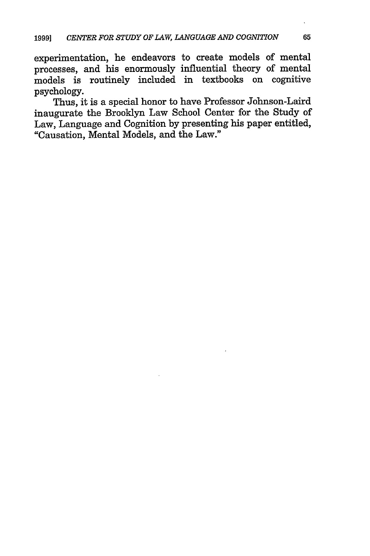experimentation, he endeavors to create models of mental processes, and his enormously influential theory of mental models is routinely included in textbooks on cognitive psychology.

Thus, it is a special honor to have Professor Johnson-Laird inaugurate the Brooklyn Law School Center for the Study of Law, Language and Cognition by presenting his paper entitled, "Causation, Mental Models, and the Law."